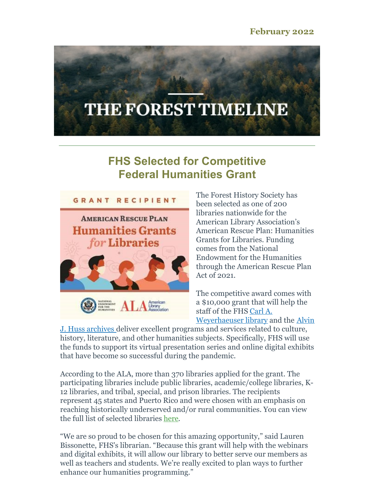# THE FOREST TIMELINE

## **FHS Selected for Competitive Federal Humanities Grant**



The Forest History Society has been selected as one of 200 libraries nationwide for the American Library Association's American Rescue Plan: Humanities Grants for Libraries. Funding comes from the National Endowment for the Humanities through the American Rescue Plan Act of 2021.

The competitive award comes with a \$10,000 grant that will help the staff of the FHS Carl A. [Weyerhaeuser](https://foresthistory.org/research-explore/archives-library/alvin-j-huss-archives/) library and the Alvin

J. Huss archives deliver excellent programs and services related to culture, history, literature, and other humanities subjects. Specifically, FHS will use the funds to support its virtual presentation series and online digital exhibits that have become so successful during the pandemic.

According to the ALA, more than 370 libraries applied for the grant. The participating libraries include public libraries, academic/college libraries, K-12 libraries, and tribal, special, and prison libraries. The recipients represent 45 states and Puerto Rico and were chosen with an emphasis on reaching historically underserved and/or rural communities. You can view the full list of selected libraries [here](https://www.ala.org/tools/programming/ARPhumanities/sites).

"We are so proud to be chosen for this amazing opportunity," said Lauren Bissonette, FHS's librarian. "Because this grant will help with the webinars and digital exhibits, it will allow our library to better serve our members as well as teachers and students. We're really excited to plan ways to further enhance our humanities programming."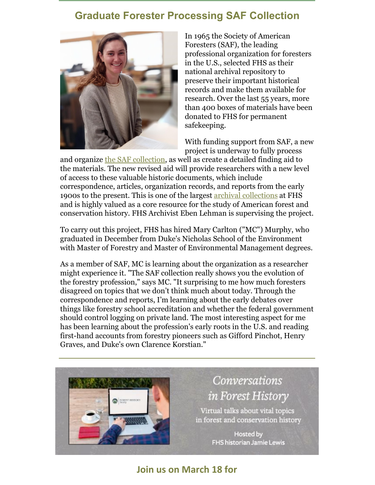### **Graduate Forester Processing SAF Collection**



In 1965 the Society of American Foresters (SAF), the leading professional organization for foresters in the U.S., selected FHS as their national archival repository to preserve their important historical records and make them available for research. Over the last 55 years, more than 400 boxes of materials have been donated to FHS for permanent safekeeping.

With funding support from SAF, a new project is underway to fully process

and organize the SAF [collection](https://foresthistory.org/research-explore/archives-library/fhs-archival-collections/inventory-of-the-society-of-american-foresters-records-1907-2004/), as well as create a detailed finding aid to the materials. The new revised aid will provide researchers with a new level of access to these valuable historic documents, which include correspondence, articles, organization records, and reports from the early 1900s to the present. This is one of the largest archival [collections](https://foresthistory.org/research-explore/archives-library/fhs-archival-collections/) at FHS and is highly valued as a core resource for the study of American forest and conservation history. FHS Archivist Eben Lehman is supervising the project.

To carry out this project, FHS has hired Mary Carlton ("MC") Murphy, who graduated in December from Duke's Nicholas School of the Environment with Master of Forestry and Master of Environmental Management degrees.

As a member of SAF, MC is learning about the organization as a researcher might experience it. "The SAF collection really shows you the evolution of the forestry profession," says MC. "It surprising to me how much foresters disagreed on topics that we don't think much about today. Through the correspondence and reports, I'm learning about the early debates over things like forestry school accreditation and whether the federal government should control logging on private land. The most interesting aspect for me has been learning about the profession's early roots in the U.S. and reading first-hand accounts from forestry pioneers such as Gifford Pinchot, Henry Graves, and Duke's own Clarence Korstian."



# **Conversations** in Forest History

Virtual talks about vital topics in forest and conservation history

> **Hosted by FHS historian Jamie Lewis**

#### **Join us on March 18 for**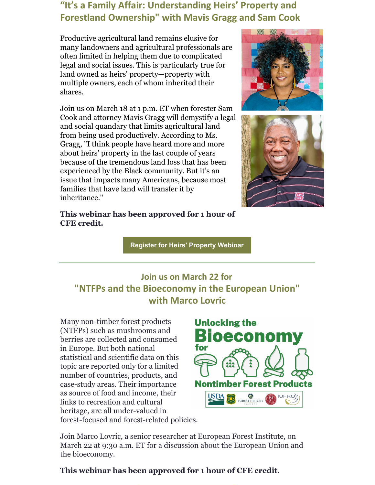#### **"It's a Family Affair: Understanding Heirs' Property and Forestland Ownership" with Mavis Gragg and Sam Cook**

Productive agricultural land remains elusive for many landowners and agricultural professionals are often limited in helping them due to complicated legal and social issues. This is particularly true for land owned as heirs' property—property with multiple owners, each of whom inherited their shares.

Join us on March 18 at 1 p.m. ET when forester Sam Cook and attorney Mavis Gragg will demystify a legal and social quandary that limits agricultural land from being used productively. According to Ms. Gragg, "I think people have heard more and more about heirs' property in the last couple of years because of the tremendous land loss that has been experienced by the Black community. But it's an issue that impacts many Americans, because most families that have land will transfer it by inheritance."



**Register for Heirs' [Property](https://us02web.zoom.us/webinar/register/WN_7koRylNTQsC_T890J9eFsw) Webinar**

## **Join us on March 22 for "NTFPs and the Bioeconomy in the European Union" with Marco Lovric**

Many non-timber forest products (NTFPs) such as mushrooms and berries are collected and consumed in Europe. But both national statistical and scientific data on this topic are reported only for a limited number of countries, products, and case-study areas. Their importance as source of food and income, their links to recreation and cultural heritage, are all under-valued in forest-focused and forest-related policies.



Join Marco Lovric, a senior researcher at European Forest Institute, on March 22 at 9:30 a.m. ET for a discussion about the European Union and the bioeconomy.

#### **This webinar has been approved for 1 hour of CFE credit.**



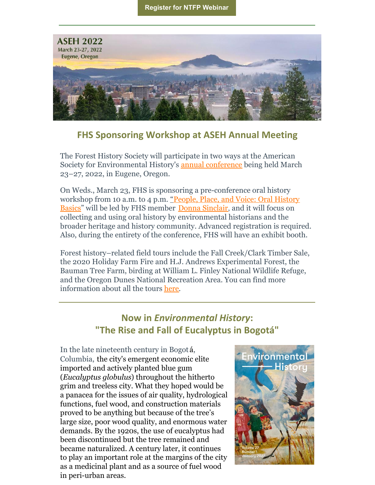

#### **FHS Sponsoring Workshop at ASEH Annual Meeting**

The Forest History Society will participate in two ways at the American Society for Environmental History's annual [conference](https://aseh.org/aseh-2022-conference) being held March 23–27, 2022, in Eugene, Oregon.

On Weds., March 23, FHS is sponsoring a pre-conference oral history [workshop](https://aseh.org/aseh-2022-pre-conference-workshop) from 10 a.m. to 4 p.m. ["](https://aseh.org/aseh-2022-pre-conference-workshop)People, Place, and Voice: Oral History Basics" will be led by FHS member Donna [Sinclair](https://www.youtube.com/watch?v=xDRvX9P37aM&t=4s), and it will focus on collecting and using oral history by environmental historians and the broader heritage and history community. Advanced registration is required. Also, during the entirety of the conference, FHS will have an exhibit booth.

Forest history–related field tours include the Fall Creek/Clark Timber Sale, the 2020 Holiday Farm Fire and H.J. Andrews Experimental Forest, the Bauman Tree Farm, birding at William L. Finley National Wildlife Refuge, and the Oregon Dunes National Recreation Area. You can find more information about all the tours [here](https://aseh.org/aseh-2022-field-trips).

#### **Now in** *Environmental History***: "The Rise and Fall of Eucalyptus in Bogotá"**

In the late nineteenth century in Bogot á, Columbia, the city's emergent economic elite imported and actively planted blue gum (*Eucalyptus globulus*) throughout the hitherto grim and treeless city. What they hoped would be a panacea for the issues of air quality, hydrological functions, fuel wood, and construction materials proved to be anything but because of the tree's large size, poor wood quality, and enormous water demands. By the 1920s, the use of eucalyptus had been discontinued but the tree remained and became naturalized. A century later, it continues to play an important role at the margins of the city as a medicinal plant and as a source of fuel wood in peri-urban areas.